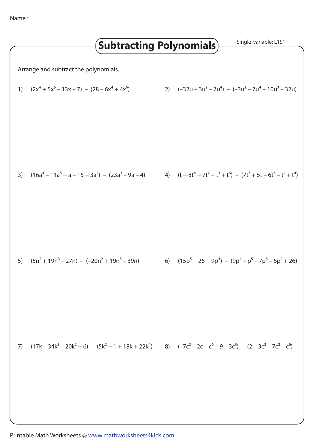|                                                                                                                                                 |                                                                                                                     | <b>Subtracting Polynomials)</b> |  |  | Single-variable: L1S1                                               |
|-------------------------------------------------------------------------------------------------------------------------------------------------|---------------------------------------------------------------------------------------------------------------------|---------------------------------|--|--|---------------------------------------------------------------------|
| Arrange and subtract the polynomials.<br>2) $(-32u - 3u^2 - 7u^4) - (-3u^2 - 7u^4 - 10u^3 - 32u)$<br>$(2x4 + 5x6 - 13x - 7) - (28 - 6x4 + 4x6)$ |                                                                                                                     |                                 |  |  |                                                                     |
| 1)                                                                                                                                              |                                                                                                                     |                                 |  |  |                                                                     |
| 3)                                                                                                                                              | $(16a4 - 11a5 + a - 15 + 3a2) - (23a3 - 9a - 4)$                                                                    |                                 |  |  | 4) $(t + 8t^4 + 7t^2 + t^3 + t^6) - (7t^3 + 5t - 6t^6 - t^2 + t^4)$ |
| 5)                                                                                                                                              | $(5n2 + 19n3 - 27n) - (-20n2 + 19n3 - 39n)$                                                                         |                                 |  |  | 6) $(15p5 + 26 + 9p4) - (9p4 - p5 - 7p3 - 6p2 + 26)$                |
| 7)                                                                                                                                              | $(17k - 34k^3 - 20k^2 + 6) - (5k^2 + 1 + 18k + 22k^4)$ 8) $(-7c^2 - 2c - c^6 - 9 - 3c^3) - (2 - 3c^3 - 7c^2 - c^6)$ |                                 |  |  |                                                                     |